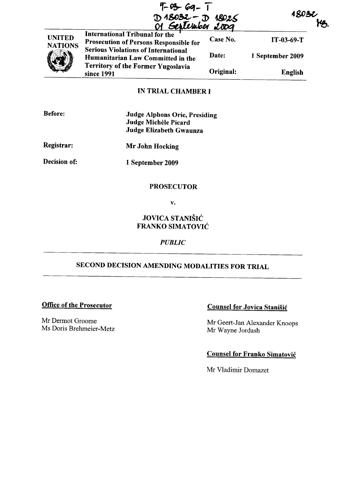|                                 | $4 - 03 - 69 - 7$<br>D 18032 - D 18025<br>01 September 2009                            |           | <u> 1803ł</u>    |
|---------------------------------|----------------------------------------------------------------------------------------|-----------|------------------|
| <b>UNITED</b><br><b>NATIONS</b> | <b>International Tribunal for the</b><br><b>Prosecution of Persons Responsible for</b> | Case No.  | $IT-03-69-T$     |
|                                 | <b>Serious Violations of International</b><br>Humanitarian Law Committed in the        | Date:     | 1 September 2009 |
|                                 | <b>Territory of the Former Yugoslavia</b><br>since 1991                                | Original: | English          |

## IN TRIAL CHAMBER I

| <b>Before:</b> | <b>Judge Alphons Orie, Presiding</b> |
|----------------|--------------------------------------|
|                | Judge Michèle Picard                 |
|                | Judge Elizabeth Gwaunza              |

Registrar: Mr John Hocking

Decision of:

1 September 2009

#### **PROSECUTOR**

v.

JOVICA STANIŠIĆ FRANKO SIMATOVIC

#### *PUBLIC*

## SECOND DECISION AMENDING MODALITIES FOR TRIAL

Mr Dermot Groome Ms Doris Brehmeier-Metz

# Office of the Prosecutor Counsel for Jovica Stanisic

Mr Geert-Jan Alexander Knoops Mr Wayne Jordash

#### Counsel for Franko Simatovic

Mr Vladimir Domazet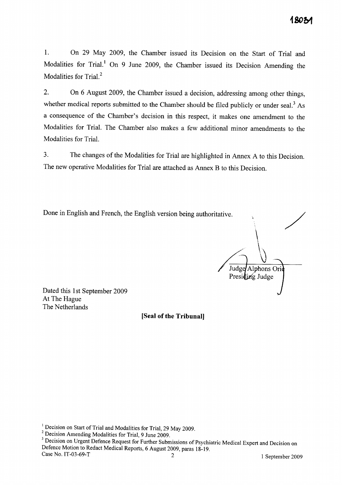1. On 29 May 2009, the Chamber issued its Decision on the Start of Trial and Modalities for Trial.<sup>1</sup> On 9 June 2009, the Chamber issued its Decision Amending the Modalities for Trial.<sup>2</sup>

2. On 6 August 2009, the Chamber issued a decision, addressing among other things, whether medical reports submitted to the Chamber should be filed publicly or under seal.<sup>3</sup> As a consequence of the Chamber's decision in this respect, it makes one amendment to the Modalities for Trial. The Chamber also makes a few additional minor amendments to the Modalities for Trial.

3. The changes of the Modalities for Trial are highlighted in Annex A to this Decision. The new operative Modalities for Trial are attached as Annex B to this Decision.

Done in English and French, the English version being authoritative.

/ Judge Alphons Orie Presiding Judge

Dated this 1st September 2009 At The Hague The Netherlands

**[Seal of the Tribunal]** 

<sup>&</sup>lt;sup>1</sup> Decision on Start of Trial and Modalities for Trial, 29 May 2009.

<sup>2</sup> Decision Amending Modalities for Trial, 9 June 2009.

<sup>&</sup>lt;sup>3</sup> Decision on Urgent Defence Request for Further Submissions of Psychiatric Medical Expert and Decision on Defence Motion to Redact Medical Reports, 6 August 2009, paras 18-19.<br>Case No. IT-03-69-T 2 1 September 2009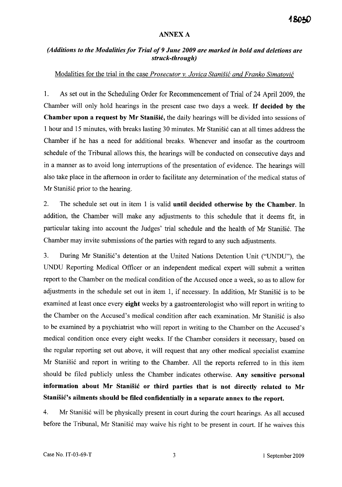#### ANNEXA

### *(Additions to the Modalities for Trial of* 9 *June 2009 are marked in bold and deletions are struck-through)*

#### Modalities for the trial in the case *Prosecutor v. Jovica Stanisic and Franko Simatovic*

1. As set out in the Scheduling Order for Recommencement of Trial of 24 April 2009, the Chamber will only hold hearings in the present case two days a week. If decided by the Chamber upon a request by Mr Stanisic, the daily hearings will be divided into sessions of 1 hour and 15 minutes, with breaks lasting 30 minutes. Mr Stanišić can at all times address the Chamber if he has a need for additional breaks. Whenever and insofar as the courtroom schedule of the Tribunal allows this, the hearings will be conducted on consecutive days and in a manner as to avoid long interruptions of the presentation of evidence. The hearings will also take place in the afternoon in order to facilitate any determination of the medical status of Mr Stanišić prior to the hearing.

2. The schedule set out in item 1 is valid until decided otherwise by the Chamber. In addition, the Chamber will make any adjustments to this schedule that it deems fit, in particular taking into account the Judges' trial schedule and the health of Mr Stanišić. The Chamber may invite submissions of the parties with regard to any such adjustments.

3. During Mr Stanišić's detention at the United Nations Detention Unit ("UNDU"), the UNDU Reporting Medical Officer or an independent medical expert will submit a written report to the Chamber on the medical condition of the Accused once a week, so as to allow for adjustments in the schedule set out in item 1, if necessary. In addition, Mr Stanišić is to be examined at least once every eight weeks by a gastroenterologist who will report in writing to the Chamber on the Accused's medical condition after each examination. Mr Stanišić is also to be examined by a psychiatrist who will report in writing to the Chamber on the Accused's medical condition once every eight weeks. If the Chamber considers it necessary, based on the regular reporting set out above, it will request that any other medical specialist examine Mr Stanišić and report in writing to the Chamber. All the reports referred to in this item should be filed publicly unless the Chamber indicates otherwise. Any sensitive personal information about Mr Stanisic or third parties that is not directly related to Mr Stanišić's ailments should be filed confidentially in a separate annex to the report.

4. Mr Stanišić will be physically present in court during the court hearings. As all accused before the Tribunal, Mr Stanišić may waive his right to be present in court. If he waives this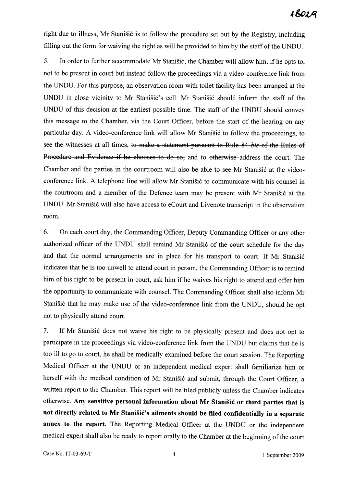right due to illness, Mr Stanišić is to follow the procedure set out by the Registry, including filling out the form for waiving the right as will be provided to him by the staff of the UNDU.

5. In order to further accommodate Mr Stanišić, the Chamber will allow him, if he opts to, not to be present in court but instead follow the proceedings via a video-conference link from the UNDU. For this purpose, an observation room with toilet facility has been arranged at the UNDU in close vicinity to Mr Stanišić's cell. Mr Stanišić should inform the staff of the UNDU of this decision at the earliest possible time. The staff of the UNDU should convey this message to the Chamber, via the Court Officer, before the start of the hearing on any particular day. A video-conference link will allow Mr Stanišić to follow the proceedings, to see the witnesses at all times, to make a statement pursuant to Rule 84 *his* of the Rules of Procedure and Evidence if he chooses to do so, and to otherwise address the court. The Chamber and the parties in the courtroom will also be able to see Mr Stanišić at the videoconference link. A telephone line will allow Mr Stanišić to communicate with his counsel in the courtroom and a member of the Defence team may be present with Mr Stanišić at the UNDU. Mr Stanišić will also have access to eCourt and Livenote transcript in the observation room.

6. On each court day, the Commanding Officer, Deputy Commanding Officer or any other authorized officer of the UNDU shall remind Mr Stanišić of the court schedule for the day and that the normal arrangements are in place for his transport to court. If Mr Stanišić indicates that he is too unwell to attend court in person, the Commanding Officer is to remind him of his right to be present in court, ask him if he waives his right to attend and offer him the opportunity to communicate with counsel. The Commanding Officer shall also inform Mr Stanišić that he may make use of the video-conference link from the UNDU, should he opt not to physically attend court.

7. If Mr Stanišić does not waive his right to be physically present and does not opt to participate in the proceedings via video-conference link from the UNDU but claims that he is too ill to go to court, he shall be medically examined before the court session. The Reporting Medical Officer at the UNDU or an independent medical expert shall familiarize him or herself with the medical condition of Mr Stanišić and submit, through the Court Officer, a written report to the Chamber. This report will be filed publicly unless the Chamber indicates otherwise. **Any sensitive personal information about Mr Stanisic or third parties that is**  not directly related to Mr Stanišić's ailments should be filed confidentially in a separate **annex to the report.** The Reporting Medical Officer at the UNDU or the independent medical expert shall also be ready to report orally to the Chamber at the beginning of the court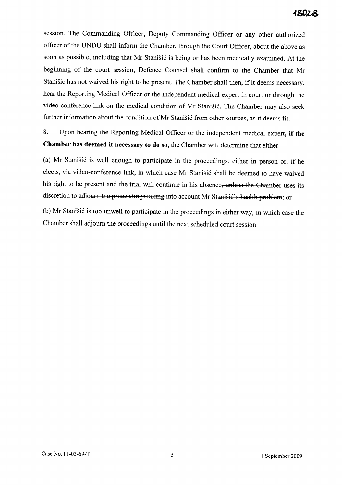session. The Commanding Officer, Deputy Commanding Officer or any other authorized officer of the UNDU shall inform the Chamber, through the Court Officer, about the above as soon as possible, including that Mr Stanišić is being or has been medically examined. At the beginning of the court session, Defence Counsel shall confirm to the Chamber that Mr Stanišić has not waived his right to be present. The Chamber shall then, if it deems necessary, hear the Reporting Medical Officer or the independent medical expert in court or through the video-conference link on the medical condition of Mr Stanišić. The Chamber may also seek further information about the condition of Mr Stanišić from other sources, as it deems fit.

8. Upon hearing the Reporting Medical Officer or the independent medical expert, if the Chamber has deemed it necessary to do so, the Chamber will determine that either:

(a) Mr Stanišić is well enough to participate in the proceedings, either in person or, if he elects, via video-conference link, in which case Mr Stanišić shall be deemed to have waived his right to be present and the trial will continue in his absence, unless the Chamber uses its discretion to adjourn the proceedings taking into account Mr Stanisic's health problem; or

(b) Mr Stanišić is too unwell to participate in the proceedings in either way, in which case the Chamber shall adjourn the proceedings until the next scheduled court session.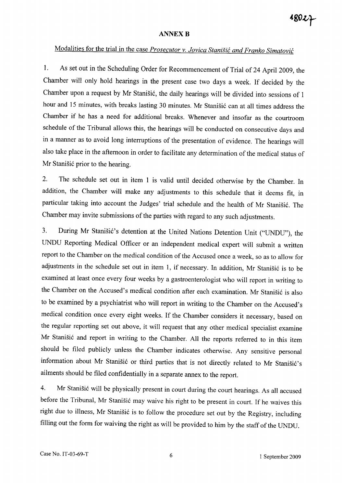#### **ANNEX B**

## Modalities for the trial in the case *Prosecutor* v. *Jovica Stanisic and Franko Simatovic*

1. As set out in the Scheduling Order for Recommencement of Trial of 24 April 2009, the Chamber will only hold hearings in the present case two days a week. If decided by the Chamber upon a request by Mr Stanišić, the daily hearings will be divided into sessions of 1 hour and 15 minutes, with breaks lasting 30 minutes. Mr Stanišić can at all times address the Chamber if he has a need for additional breaks. Whenever and insofar as the courtroom schedule of the Tribunal allows this, the hearings will be conducted on consecutive days and in a manner as to avoid long interruptions of the presentation of evidence. The hearings will also take place in the afternoon in order to facilitate any determination of the medical status of Mr Stanišić prior to the hearing.

2. The schedule set out in item 1 is valid until decided otherwise by the Chamber. In addition, the Chamber will make any adjustments to this schedule that it deems fit, in particular taking into account the Judges' trial schedule and the health of Mr Stanišić. The Chamber may invite submissions of the parties with regard to any such adjustments.

3. During Mr Stanišić's detention at the United Nations Detention Unit ("UNDU"), the UNDU Reporting Medical Officer or an independent medical expert will submit a written report to the Chamber on the medical condition of the Accused once a week, so as to allow for adjustments in the schedule set out in item 1, if necessary. In addition, Mr Stanišić is to be examined at least once every four weeks by a gastroenterologist who will report in writing to the Chamber on the Accused's medical condition after each examination. Mr Stanišić is also to be examined by a psychiatrist who will report in writing to the Chamber on the Accused's medical condition once every eight weeks. If the Chamber considers it necessary, based on the regular reporting set out above, it will request that any other medical specialist examine Mr Stanišić and report in writing to the Chamber. All the reports referred to in this item should be filed publicly unless the Chamber indicates otherwise. Any sensitive personal information about Mr Stanišić or third parties that is not directly related to Mr Stanišić's ailments should be filed confidentially in a separate annex to the report.

4. Mr Stanišić will be physically present in court during the court hearings. As all accused before the Tribunal, Mr Stanišić may waive his right to be present in court. If he waives this right due to illness, Mr Stanišić is to follow the procedure set out by the Registry, including filling out the form for waiving the right as will be provided to him by the staff of the UNDU.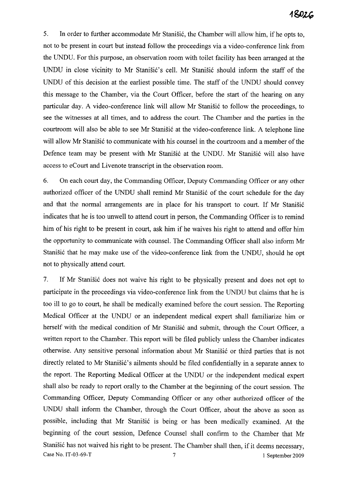5. In order to further accommodate Mr Stanišić, the Chamber will allow him, if he opts to, not to be present in court but instead follow the proceedings via a video-conference link from the UNDU. For this purpose, an observation room with toilet facility has been arranged at the UNDU in close vicinity to Mr Stanišić's cell. Mr Stanišić should inform the staff of the UNDU of this decision at the earliest possible time. The staff of the UNDU should convey this message to the Chamber, via the Court Officer, before the start of the hearing on any particular day. A video-conference link will allow Mr Stanišić to follow the proceedings, to see the witnesses at all times, and to address the court. The Chamber and the parties in the courtroom will also be able to see Mr Stanišić at the video-conference link. A telephone line will allow Mr Stanišić to communicate with his counsel in the courtroom and a member of the Defence team may be present with Mr Stanišić at the UNDU. Mr Stanišić will also have access to eCourt and Livenote transcript in the observation room.

6. On each court day, the Commanding Officer, Deputy Commanding Officer or any other authorized officer of the UNDU shall remind Mr Stanišić of the court schedule for the day and that the normal arrangements are in place for his transport to court. If Mr Stanisic indicates that he is too unwell to attend court in person, the Commanding Officer is to remind him of his right to be present in court, ask him if he waives his right to attend and offer him the opportunity to communicate with counsel. The Commanding Officer shall also inform Mr Stanišić that he may make use of the video-conference link from the UNDU, should he opt not to physically attend court.

7. If Mr Stanišić does not waive his right to be physically present and does not opt to participate in the proceedings via video-conference link from the UNDU but claims that he is too ill to go to court, he shall be medically examined before the court session. The Reporting Medical Officer at the UNDU or an independent medical expert shall familiarize him or herself with the medical condition of Mr Stanišić and submit, through the Court Officer, a written report to the Chamber. This report will be filed publicly unless the Chamber indicates otherwise. Any sensitive personal information about Mr Stanišić or third parties that is not directly related to Mr Stanišić's ailments should be filed confidentially in a separate annex to the report. The Reporting Medical Officer at the UNDU or the independent medical expert shall also be ready to report orally to the Chamber at the beginning of the court session. The Commanding Officer, Deputy Commanding Officer or any other authorized officer of the UNDU shall inform the Chamber, through the Court Officer, about the above as soon as possible, including that Mr Stanišić is being or has been medically examined. At the beginning of the court session, Defence Counsel shall confirm to the Chamber that Mr Stanišić has not waived his right to be present. The Chamber shall then, if it deems necessary, Case No. IT-03-69-T 2009